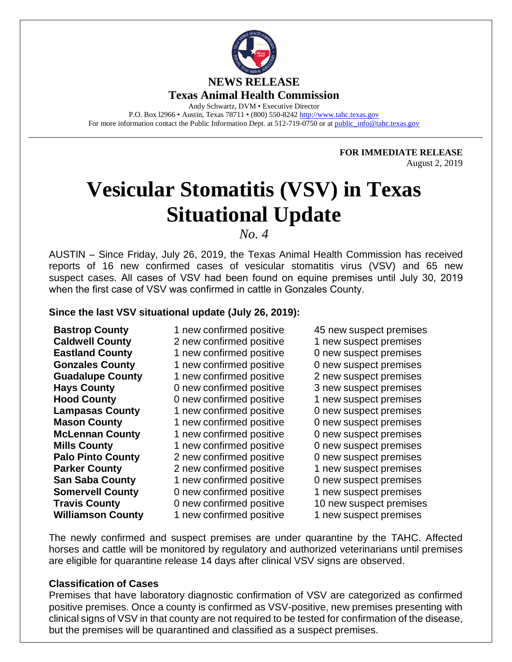

Andy Schwartz, DVM • Executive Director P.O. Box l2966 • Austin, Texas 78711 • (800) 550-8242 [http://www.tahc.texas.gov](http://www.tahc.texas.gov/) For more information contact the Public Information Dept. at 512-719-0750 or at [public\\_info@tahc.texas.gov](mailto:public_info@tahc.texas.gov)

> **FOR IMMEDIATE RELEASE** August 2, 2019

# **Vesicular Stomatitis (VSV) in Texas Situational Update**

*No. 4* 

AUSTIN – Since Friday, July 26, 2019, the Texas Animal Health Commission has received reports of 16 new confirmed cases of vesicular stomatitis virus (VSV) and 65 new suspect cases. All cases of VSV had been found on equine premises until July 30, 2019 when the first case of VSV was confirmed in cattle in Gonzales County.

#### **Since the last VSV situational update (July 26, 2019):**

**Williamson County** 1 new confirmed positive 1 new suspect premises

2 new confirmed positive 1 new suspect premises **Eastland County** 1 new confirmed positive 0 new suspect premises **Gonzales County** 1 new confirmed positive 0 new suspect premises **Guadalupe County** 1 new confirmed positive 2 new suspect premises Hays County **D** new confirmed positive 3 new suspect premises **Hood County 1** 0 new confirmed positive 1 new suspect premises **Lampasas County** 1 new confirmed positive 0 new suspect premises **Mason County** 1 new confirmed positive 0 new suspect premises **McLennan County** 1 new confirmed positive 0 new suspect premises **Mills County** 1 new confirmed positive 0 new suspect premises **Palo Pinto County** 2 new confirmed positive 0 new suspect premises **Parker County** 2 new confirmed positive 1 new suspect premises **San Saba County** 1 new confirmed positive 0 new suspect premises **Somervell County** 0 new confirmed positive 1 new suspect premises

**Bastrop County** 1 new confirmed positive 45 new suspect premises<br> **Caldwell County** 2 new confirmed positive 1 new suspect premises **Travis County** 0 new confirmed positive 10 new suspect premises

The newly confirmed and suspect premises are under quarantine by the TAHC. Affected horses and cattle will be monitored by regulatory and authorized veterinarians until premises are eligible for quarantine release 14 days after clinical VSV signs are observed.

# **Classification of Cases**

Premises that have laboratory diagnostic confirmation of VSV are categorized as confirmed positive premises. Once a county is confirmed as VSV-positive, new premises presenting with clinical signs of VSV in that county are not required to be tested for confirmation of the disease, but the premises will be quarantined and classified as a suspect premises.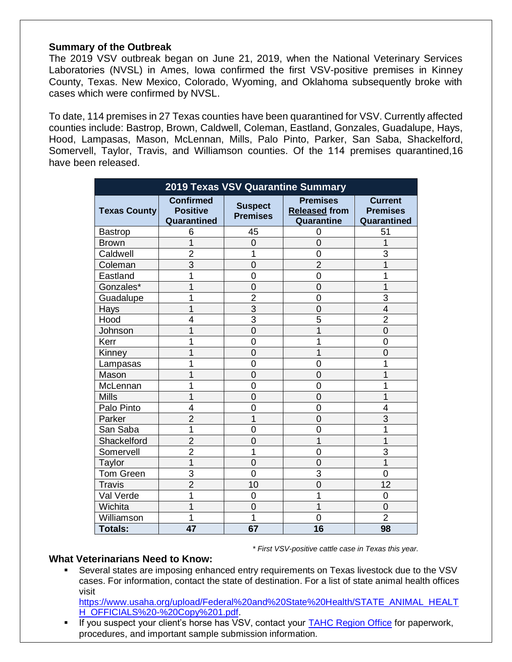#### **Summary of the Outbreak**

The 2019 VSV outbreak began on June 21, 2019, when the National Veterinary Services Laboratories (NVSL) in Ames, Iowa confirmed the first VSV-positive premises in Kinney County, Texas. New Mexico, Colorado, Wyoming, and Oklahoma subsequently broke with cases which were confirmed by NVSL.

To date, 114 premises in 27 Texas counties have been quarantined for VSV. Currently affected counties include: Bastrop, Brown, Caldwell, Coleman, Eastland, Gonzales, Guadalupe, Hays, Hood, Lampasas, Mason, McLennan, Mills, Palo Pinto, Parker, San Saba, Shackelford, Somervell, Taylor, Travis, and Williamson counties. Of the 114 premises quarantined,16 have been released.

| 2019 Texas VSV Quarantine Summary |                                                    |                                   |                                                       |                                                  |
|-----------------------------------|----------------------------------------------------|-----------------------------------|-------------------------------------------------------|--------------------------------------------------|
| <b>Texas County</b>               | <b>Confirmed</b><br><b>Positive</b><br>Quarantined | <b>Suspect</b><br><b>Premises</b> | <b>Premises</b><br><b>Released from</b><br>Quarantine | <b>Current</b><br><b>Premises</b><br>Quarantined |
| <b>Bastrop</b>                    | 6                                                  | 45                                | 0                                                     | 51                                               |
| <b>Brown</b>                      | 1                                                  | $\overline{0}$                    | $\overline{0}$                                        | 1                                                |
| Caldwell                          | $\overline{2}$                                     | 1                                 | $\overline{0}$                                        | 3                                                |
| Coleman                           | $\overline{3}$                                     | $\overline{0}$                    | $\overline{2}$                                        | 1                                                |
| Eastland                          | 1                                                  | $\overline{0}$                    | $\overline{0}$                                        |                                                  |
| Gonzales*                         | 1                                                  | $\overline{0}$                    | $\overline{0}$                                        | 1                                                |
| Guadalupe                         | 1                                                  | $\overline{2}$                    | $\overline{0}$                                        | 3                                                |
| Hays                              | 1                                                  | 3                                 | $\overline{0}$                                        | 4                                                |
| Hood                              | 4                                                  | 3                                 | 5                                                     | $\overline{2}$                                   |
| Johnson                           | 1                                                  | $\overline{0}$                    | 1                                                     | 0                                                |
| Kerr                              | 1                                                  | $\overline{0}$                    | 1                                                     | 0                                                |
| Kinney                            | 1                                                  | $\overline{0}$                    | 1                                                     | 0                                                |
| Lampasas                          | 1                                                  | $\overline{0}$                    | $\overline{0}$                                        |                                                  |
| Mason                             | 1                                                  | $\overline{0}$                    | $\overline{0}$                                        |                                                  |
| McLennan                          | 1                                                  | $\overline{0}$                    | $\overline{0}$                                        |                                                  |
| <b>Mills</b>                      | 1                                                  | $\overline{0}$                    | $\overline{0}$                                        |                                                  |
| Palo Pinto                        | 4                                                  | $\overline{0}$                    | $\overline{0}$                                        | 4                                                |
| Parker                            | $\overline{2}$                                     | 1                                 | $\overline{0}$                                        | $\overline{3}$                                   |
| San Saba                          | 1                                                  | $\overline{0}$                    | $\overline{0}$                                        | 1                                                |
| Shackelford                       | $\overline{2}$                                     | $\overline{0}$                    | $\overline{1}$                                        | 1                                                |
| Somervell                         | $\overline{2}$                                     | 1                                 | 0                                                     | 3                                                |
| Taylor                            | 1                                                  | $\overline{0}$                    | $\overline{0}$                                        | 1                                                |
| Tom Green                         | 3                                                  | $\overline{0}$                    | 3                                                     | 0                                                |
| <b>Travis</b>                     | $\overline{2}$                                     | 10                                | $\overline{0}$                                        | 12                                               |
| Val Verde                         | 1                                                  | $\overline{0}$                    | 1                                                     | 0                                                |
| Wichita                           | 1                                                  | 0                                 | 1                                                     | $\overline{0}$                                   |
| Williamson                        | 1                                                  | 1                                 | $\overline{0}$                                        | $\overline{2}$                                   |
| <b>Totals:</b>                    | 47                                                 | 67                                | 16                                                    | 98                                               |

*\* First VSV-positive cattle case in Texas this year.*

# **What Veterinarians Need to Know:**

▪ Several states are imposing enhanced entry requirements on Texas livestock due to the VSV cases. For information, contact the state of destination. For a list of state animal health offices visit

[https://www.usaha.org/upload/Federal%20and%20State%20Health/STATE\\_ANIMAL\\_HEALT](https://www.usaha.org/upload/Federal%20and%20State%20Health/STATE_ANIMAL_HEALTH_OFFICIALS%20-%20Copy%201.pdf) [H\\_OFFICIALS%20-%20Copy%201.pdf.](https://www.usaha.org/upload/Federal%20and%20State%20Health/STATE_ANIMAL_HEALTH_OFFICIALS%20-%20Copy%201.pdf)

**EXECT:** If you suspect your client's horse has VSV, contact your [TAHC Region Office](https://www.tahc.texas.gov/agency/contact.html) for paperwork, procedures, and important sample submission information.